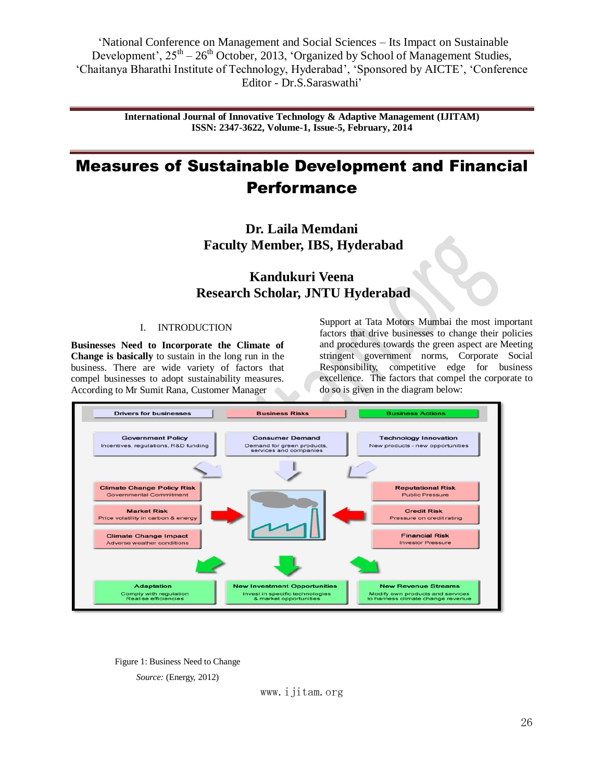> **International Journal of Innovative Technology & Adaptive Management (IJITAM) ISSN: 2347-3622, Volume-1, Issue-5, February, 2014**

# Measures of Sustainable Development and Financial Performance

**Dr. Laila Memdani Faculty Member, IBS, Hyderabad**

## **Kandukuri Veena Research Scholar, JNTU Hyderabad**

#### I. INTRODUCTION

**Businesses Need to Incorporate the Climate of Change is basically** to sustain in the long run in the business. There are wide variety of factors that compel businesses to adopt sustainability measures. According to Mr Sumit Rana, Customer Manager

Support at Tata Motors Mumbai the most important factors that drive businesses to change their policies and procedures towards the green aspect are Meeting stringent government norms, Corporate Social Responsibility, competitive edge for business excellence. The factors that compel the corporate to do so is given in the diagram below:



Figure 1: Business Need to Change

*Source:* (Energy, 2012)

www.ijitam.org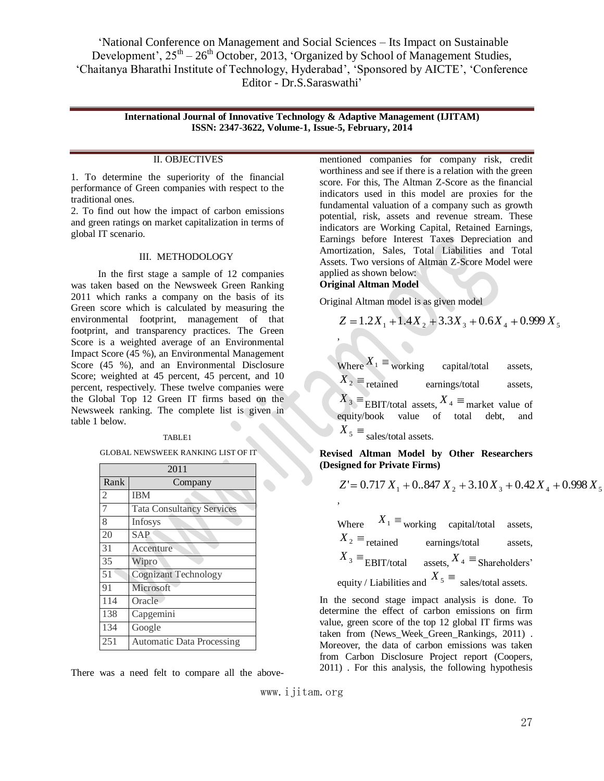> **International Journal of Innovative Technology & Adaptive Management (IJITAM) ISSN: 2347-3622, Volume-1, Issue-5, February, 2014**

#### II. OBJECTIVES

1. To determine the superiority of the financial performance of Green companies with respect to the traditional ones.

2. To find out how the impact of carbon emissions and green ratings on market capitalization in terms of global IT scenario.

#### III. METHODOLOGY

 In the first stage a sample of 12 companies was taken based on the Newsweek Green Ranking 2011 which ranks a company on the basis of its Green score which is calculated by measuring the environmental footprint, management of that footprint, and transparency practices. The Green Score is a weighted average of an Environmental Impact Score (45 %), an Environmental Management Score (45 %), and an Environmental Disclosure Score; weighted at 45 percent, 45 percent, and 10 percent, respectively. These twelve companies were the Global Top 12 Green IT firms based on the Newsweek ranking. The complete list is given in table 1 below.

#### TABLE1

GLOBAL NEWSWEEK RANKING LIST OF IT

|                | 2011                             |  |  |  |  |  |
|----------------|----------------------------------|--|--|--|--|--|
| Rank           | Company                          |  |  |  |  |  |
| $\overline{2}$ | <b>IBM</b>                       |  |  |  |  |  |
| 7              | <b>Tata Consultancy Services</b> |  |  |  |  |  |
| 8              | Infosys                          |  |  |  |  |  |
| 20             | <b>SAP</b>                       |  |  |  |  |  |
| 31             | Accenture                        |  |  |  |  |  |
| 35             | Wipro                            |  |  |  |  |  |
| 51             | <b>Cognizant Technology</b>      |  |  |  |  |  |
| 91             | Microsoft                        |  |  |  |  |  |
| 114            | Oracle                           |  |  |  |  |  |
| 138            | Capgemini                        |  |  |  |  |  |
| 134            | Google                           |  |  |  |  |  |
| 251            | <b>Automatic Data Processing</b> |  |  |  |  |  |

There was a need felt to compare all the above-

mentioned companies for company risk, credit worthiness and see if there is a relation with the green score. For this, The Altman Z-Score as the financial indicators used in this model are proxies for the fundamental valuation of a company such as growth potential, risk, assets and revenue stream. These indicators are Working Capital, Retained Earnings, Earnings before Interest Taxes Depreciation and Amortization, Sales, Total Liabilities and Total Assets. Two versions of Altman Z-Score Model were applied as shown below:

#### **Original Altman Model**

,

,

Original Altman model is as given model

$$
Z = 1.2X_1 + 1.4X_2 + 3.3X_3 + 0.6X_4 + 0.999X_5
$$

| Where $X_1 \equiv$ working capital/total assets,             |  |  |
|--------------------------------------------------------------|--|--|
| $X_2 \equiv$ retained earnings/total assets,                 |  |  |
| $X_3 \equiv$ EBIT/total assets, $X_4 \equiv$ market value of |  |  |
| equity/book value of total debt, and                         |  |  |
| $X_5 \equiv$ sales/total assets.                             |  |  |

**Revised Altman Model by Other Researchers (Designed for Private Firms)**

$$
Z' = 0.717 X_1 + 0.847 X_2 + 3.10 X_3 + 0.42 X_4 + 0.998 X_5
$$

Where  $X_1 \equiv_{\text{working}}$  capital/total assets,  $X_2 \equiv$ <sub>retained</sub> earnings/total assets,  $X_3 \equiv$ **EBIT/total** assets,  $X_4 \equiv$ Shareholders' equity / Liabilities and  $X_5 \equiv$  sales/total assets.

In the second stage impact analysis is done. To determine the effect of carbon emissions on firm value, green score of the top 12 global IT firms was taken from (News\_Week\_Green\_Rankings, 2011) . Moreover, the data of carbon emissions was taken from Carbon Disclosure Project report (Coopers, 2011) . For this analysis, the following hypothesis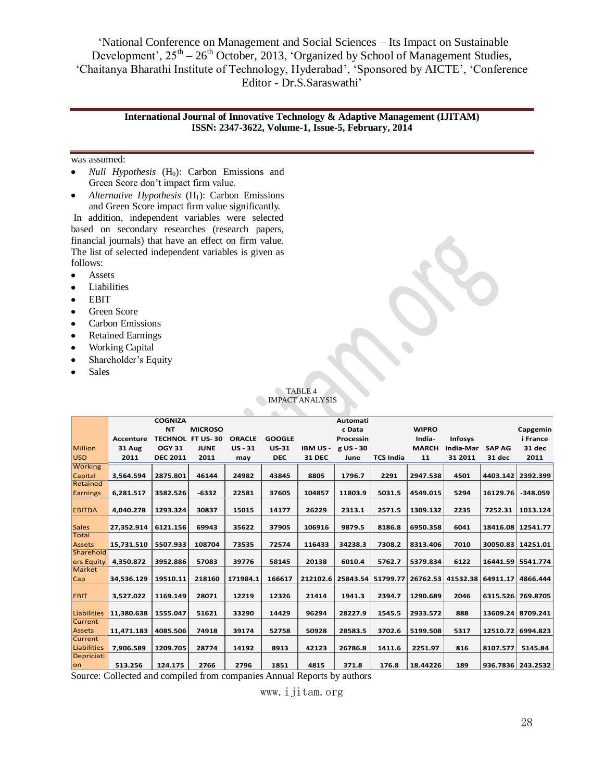#### **International Journal of Innovative Technology & Adaptive Management (IJITAM) ISSN: 2347-3622, Volume-1, Issue-5, February, 2014**

#### was assumed:

- $\bullet$ *Null Hypothesis* (H<sub>0</sub>): Carbon Emissions and Green Score don't impact firm value.
- *Alternative Hypothesis* (H<sub>1</sub>): Carbon Emissions  $\bullet$ and Green Score impact firm value significantly.

In addition, independent variables were selected based on secondary researches (research papers, financial journals) that have an effect on firm value. The list of selected independent variables is given as follows:

- Assets  $\bullet$
- $\bullet$ Liabilities
- $\bullet$ EBIT
- Green Score  $\bullet$
- $\bullet$ Carbon Emissions
- $\bullet$ Retained Earnings
- Working Capital  $\bullet$
- Shareholder's Equity  $\bullet$
- $\bullet$ Sales

|                         |               |                 |                         |               |               | <b>IMPACT ANALYSIS</b> |                 |                  |              |                   |               |                     |
|-------------------------|---------------|-----------------|-------------------------|---------------|---------------|------------------------|-----------------|------------------|--------------|-------------------|---------------|---------------------|
|                         |               |                 |                         |               |               |                        |                 |                  |              |                   |               |                     |
|                         |               | <b>COGNIZA</b>  |                         |               |               |                        | <b>Automati</b> |                  |              |                   |               |                     |
|                         |               | <b>NT</b>       | <b>MICROSO</b>          |               |               |                        | c Data          |                  | <b>WIPRO</b> |                   |               | Capgemin            |
|                         | Accenture     |                 | <b>TECHNOL FT US-30</b> | <b>ORACLE</b> | <b>GOOGLE</b> |                        | Processin       |                  | India-       | <b>Infosys</b>    |               | i France            |
| <b>Million</b>          | <b>31 Aug</b> | <b>OGY 31</b>   | <b>JUNE</b>             | $US - 31$     | <b>US-31</b>  | <b>IBM US-</b>         | g US - 30       |                  | <b>MARCH</b> | <b>India-Mar</b>  | <b>SAP AG</b> | 31 dec              |
| <b>USD</b>              | 2011          | <b>DEC 2011</b> | 2011                    | may           | <b>DEC</b>    | <b>31 DEC</b>          | June            | <b>TCS India</b> | 11           | 31 2011           | 31 dec        | 2011                |
| <b>Working</b>          |               |                 |                         |               |               |                        |                 |                  |              |                   |               |                     |
| Capital                 | 3,564.594     | 2875.801        | 46144                   | 24982         | 43845         | 8805                   | 1796.7          | 2291             | 2947.538     | 4501              | 4403.142      | 2392.399            |
| Retained                |               |                 |                         |               |               |                        |                 |                  |              |                   |               |                     |
| <b>Earnings</b>         | 6,281.517     | 3582.526        | $-6332$                 | 22581         | 37605         | 104857                 | 11803.9         | 5031.5           | 4549.015     | 5294              | 16129.76      | $-348.059$          |
| <b>EBITDA</b>           | 4.040.278     | 1293.324        | 30837                   | 15015         | 14177         | 26229                  | 2313.1          | 2571.5           | 1309.132     | 2235              | 7252.31       | 1013.124            |
| <b>Sales</b>            | 27,352.914    | 6121.156        | 69943                   | 35622         | 37905         | 106916                 | 9879.5          | 8186.8           | 6950.358     | 6041              |               | 18416.08   12541.77 |
| <b>Total</b>            |               |                 |                         |               |               |                        |                 |                  |              |                   |               |                     |
| <b>Assets</b>           | 15,731.510    | 5507.933        | 108704                  | 73535         | 72574         | 116433                 | 34238.3         | 7308.2           | 8313.406     | 7010              | 30050.83      | 14251.01            |
| Sharehold<br>ers Equity | 4,350.872     | 3952.886        | 57083                   | 39776         | 58145         | 20138                  | 6010.4          | 5762.7           | 5379.834     | 6122              |               | 16441.59   5541.774 |
| <b>Market</b>           |               |                 |                         |               |               |                        |                 |                  |              |                   |               |                     |
| Cap                     | 34,536.129    | 19510.11        | 218160                  | 171984.1      | 166617        | 212102.6               | 25843.54        | 51799.77         |              | 26762.53 41532.38 | 64911.17      | 4866.444            |
| <b>EBIT</b>             | 3,527.022     | 1169.149        | 28071                   | 12219         | 12326         | 21414                  | 1941.3          | 2394.7           | 1290.689     | 2046              | 6315.526      | 769.8705            |
| <b>Liabilities</b>      | 11,380.638    | 1555.047        | 51621                   | 33290         | 14429         | 96294                  | 28227.9         | 1545.5           | 2933.572     | 888               |               | 13609.24   8709.241 |
| <b>Current</b>          |               |                 |                         |               |               |                        |                 |                  |              |                   |               |                     |
| <b>Assets</b>           | 11,471.183    | 4085.506        | 74918                   | 39174         | 52758         | 50928                  | 28583.5         | 3702.6           | 5199.508     | 5317              | 12510.72      | 6994.823            |
| <b>Current</b>          |               |                 |                         |               |               |                        |                 |                  |              |                   |               |                     |
| Liabilities             | 7,906.589     | 1209.705        | 28774                   | 14192         | 8913          | 42123                  | 26786.8         | 1411.6           | 2251.97      | 816               | 8107.577      | 5145.84             |
| Depriciati<br>on        | 513.256       | 124.175         | 2766                    | 2796          | 1851          | 4815                   | 371.8           | 176.8            | 18.44226     | 189               |               | 936.7836   243.2532 |

C**TABLE 4** 

Source: Collected and compiled from companies Annual Reports by authors

www.ijitam.org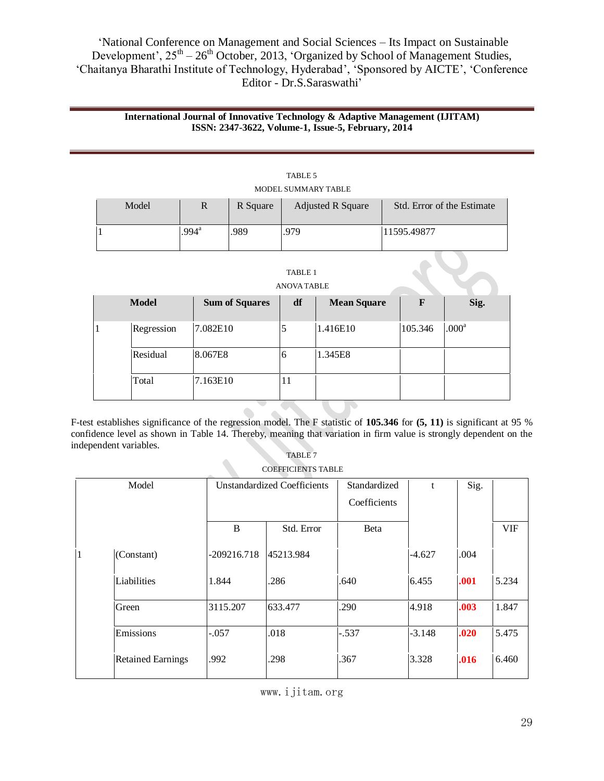#### **International Journal of Innovative Technology & Adaptive Management (IJITAM) ISSN: 2347-3622, Volume-1, Issue-5, February, 2014**

| Model |                   | R Square | <b>Adjusted R Square</b> | Std. Error of the Estimate |
|-------|-------------------|----------|--------------------------|----------------------------|
|       | $.994^{\text{a}}$ | .989     | .979                     | 11595.49877                |

| TABLE 5             |  |
|---------------------|--|
| MODEL SUMMARY TABLE |  |

| ت<br>D |  |
|--------|--|
|--------|--|

#### ANOVA TABLE

| <b>Model</b> | <b>Sum of Squares</b> | df | <b>Mean Square</b> | F       | Sig.              |
|--------------|-----------------------|----|--------------------|---------|-------------------|
| Regression   | 7.082E10              | 5  | 1.416E10           | 105.346 | .000 <sup>a</sup> |
| Residual     | 8.067E8               | 6  | 1.345E8            |         |                   |
| Total        | 7.163E10              | 11 |                    |         |                   |

 $\bullet$  $\bigcirc$ F-test establishes significance of the regression model. The F statistic of **105.346** for **(5, 11)** is significant at 95 % confidence level as shown in Table 14. Thereby, meaning that variation in firm value is strongly dependent on the independent variables.

| TABLE <sub>7</sub> |  |  |
|--------------------|--|--|
|                    |  |  |

| <b>COEFFICIENTS TABLE</b> |
|---------------------------|
|---------------------------|

| Model |                          |               | <b>Unstandardized Coefficients</b> | Standardized | $\mathbf{f}$ | Sig. |            |
|-------|--------------------------|---------------|------------------------------------|--------------|--------------|------|------------|
|       |                          |               |                                    | Coefficients |              |      |            |
|       |                          | B             | Std. Error                         | Beta         |              |      | <b>VIF</b> |
| 1     | (Constant)               | $-209216.718$ | 45213.984                          |              | $-4.627$     | .004 |            |
|       | Liabilities              | 1.844         | .286                               | .640         | 6.455        | .001 | 5.234      |
|       | Green                    | 3115.207      | 633.477                            | .290         | 4.918        | .003 | 1.847      |
|       | Emissions                | $-.057$       | .018                               | $-.537$      | $-3.148$     | .020 | 5.475      |
|       | <b>Retained Earnings</b> | .992          | .298                               | .367         | 3.328        | .016 | 6.460      |

www.ijitam.org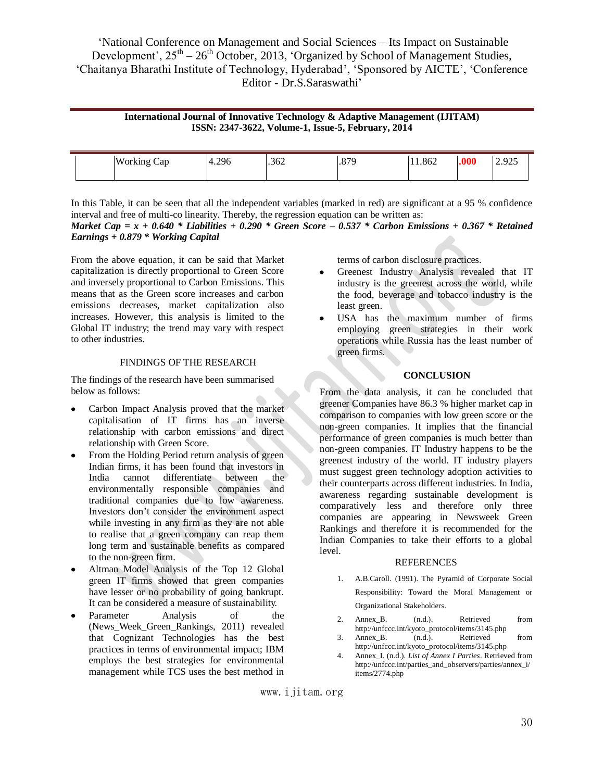### **International Journal of Innovative Technology & Adaptive Management (IJITAM) ISSN: 2347-3622, Volume-1, Issue-5, February, 2014**

|  | <b>TTT</b><br><b>W</b> or k<br>Cap | 206<br>$\prime$ 1<br>"ס קבוד | .362 | 07C<br>.0/2 | 11.862 | .000 | $\sim$ $\sim$ $\sim$<br>u<br>ل در کار در ک |
|--|------------------------------------|------------------------------|------|-------------|--------|------|--------------------------------------------|
|  |                                    |                              |      |             |        |      |                                            |

In this Table, it can be seen that all the independent variables (marked in red) are significant at a 95 % confidence interval and free of multi-co linearity. Thereby, the regression equation can be written as:

*Market Cap = x + 0.640 \* Liabilities + 0.290 \* Green Score – 0.537 \* Carbon Emissions + 0.367 \* Retained Earnings + 0.879 \* Working Capital* 

From the above equation, it can be said that Market capitalization is directly proportional to Green Score and inversely proportional to Carbon Emissions. This means that as the Green score increases and carbon emissions decreases, market capitalization also increases. However, this analysis is limited to the Global IT industry; the trend may vary with respect to other industries.

#### FINDINGS OF THE RESEARCH

The findings of the research have been summarised below as follows:

- Carbon Impact Analysis proved that the market capitalisation of IT firms has an inverse relationship with carbon emissions and direct relationship with Green Score.
- From the Holding Period return analysis of green Indian firms, it has been found that investors in India cannot differentiate between the environmentally responsible companies and traditional companies due to low awareness. Investors don't consider the environment aspect while investing in any firm as they are not able to realise that a green company can reap them long term and sustainable benefits as compared to the non-green firm.
- Altman Model Analysis of the Top 12 Global green IT firms showed that green companies have lesser or no probability of going bankrupt. It can be considered a measure of sustainability.
- Parameter Analysis of the (News Week Green Rankings, 2011) revealed that Cognizant Technologies has the best practices in terms of environmental impact; IBM employs the best strategies for environmental management while TCS uses the best method in

terms of carbon disclosure practices.

- Greenest Industry Analysis revealed that IT industry is the greenest across the world, while the food, beverage and tobacco industry is the least green.
- $\bullet$ USA has the maximum number of firms employing green strategies in their work operations while Russia has the least number of green firms.

#### **CONCLUSION**

From the data analysis, it can be concluded that greener Companies have 86.3 % higher market cap in comparison to companies with low green score or the non-green companies. It implies that the financial performance of green companies is much better than non-green companies. IT Industry happens to be the greenest industry of the world. IT industry players must suggest green technology adoption activities to their counterparts across different industries. In India, awareness regarding sustainable development is comparatively less and therefore only three companies are appearing in Newsweek Green Rankings and therefore it is recommended for the Indian Companies to take their efforts to a global level.

#### REFERENCES

- 1. A.B.Caroll. (1991). The Pyramid of Corporate Social Responsibility: Toward the Moral Management or Organizational Stakeholders.
- 2. Annex<sub>B.</sub> (n.d.). Retrieved from http://unfccc.int/kyoto\_protocol/items/3145.php
- 3. Annex\_B. (n.d.). Retrieved from http://unfccc.int/kyoto\_protocol/items/3145.php
- 4. Annex\_I. (n.d.). *List of Annex I Parties*. Retrieved from http://unfccc.int/parties\_and\_observers/parties/annex\_i/ items/2774.php

www.ijitam.org